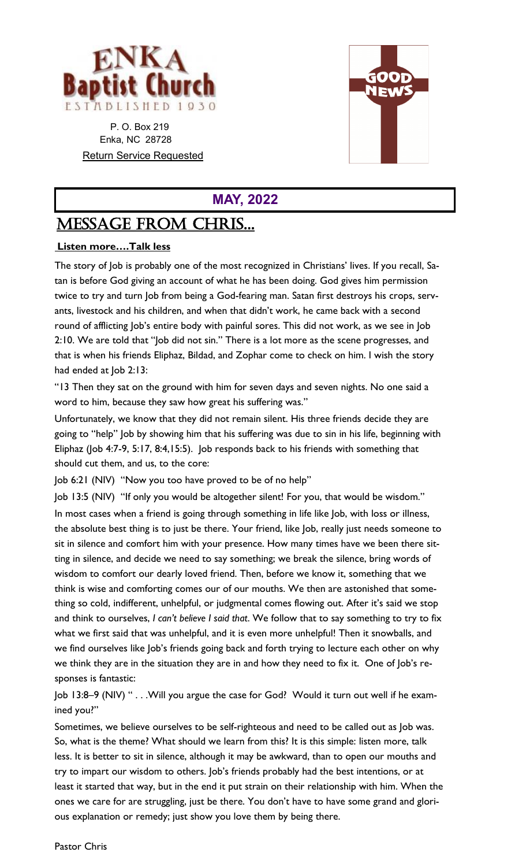

 P. O. Box 219 Enka, NC 28728 Return Service Requested



## **MAY, 2022**

# MESSAGE From CHRIS...

## **Listen more….Talk less**

The story of Job is probably one of the most recognized in Christians' lives. If you recall, Satan is before God giving an account of what he has been doing. God gives him permission twice to try and turn Job from being a God-fearing man. Satan first destroys his crops, servants, livestock and his children, and when that didn't work, he came back with a second round of afflicting Job's entire body with painful sores. This did not work, as we see in Job 2:10. We are told that "Job did not sin." There is a lot more as the scene progresses, and that is when his friends Eliphaz, Bildad, and Zophar come to check on him. I wish the story had ended at Job 2:13:

"13 Then they sat on the ground with him for seven days and seven nights. No one said a word to him, because they saw how great his suffering was."

Unfortunately, we know that they did not remain silent. His three friends decide they are going to "help" Job by showing him that his suffering was due to sin in his life, beginning with Eliphaz (Job 4:7-9, 5:17, 8:4,15:5). Job responds back to his friends with something that should cut them, and us, to the core:

Job 6:21 (NIV) "Now you too have proved to be of no help"

Job 13:5 (NIV) "If only you would be altogether silent! For you, that would be wisdom." In most cases when a friend is going through something in life like Job, with loss or illness, the absolute best thing is to just be there. Your friend, like Job, really just needs someone to sit in silence and comfort him with your presence. How many times have we been there sitting in silence, and decide we need to say something; we break the silence, bring words of wisdom to comfort our dearly loved friend. Then, before we know it, something that we think is wise and comforting comes our of our mouths. We then are astonished that something so cold, indifferent, unhelpful, or judgmental comes flowing out. After it's said we stop and think to ourselves, *I can't believe I said that*. We follow that to say something to try to fix what we first said that was unhelpful, and it is even more unhelpful! Then it snowballs, and we find ourselves like Job's friends going back and forth trying to lecture each other on why we think they are in the situation they are in and how they need to fix it. One of Job's responses is fantastic:

Job 13:8–9 (NIV) " . . .Will you argue the case for God? Would it turn out well if he examined you?"

Sometimes, we believe ourselves to be self-righteous and need to be called out as Job was. So, what is the theme? What should we learn from this? It is this simple: listen more, talk less. It is better to sit in silence, although it may be awkward, than to open our mouths and try to impart our wisdom to others. Job's friends probably had the best intentions, or at least it started that way, but in the end it put strain on their relationship with him. When the ones we care for are struggling, just be there. You don't have to have some grand and glorious explanation or remedy; just show you love them by being there.